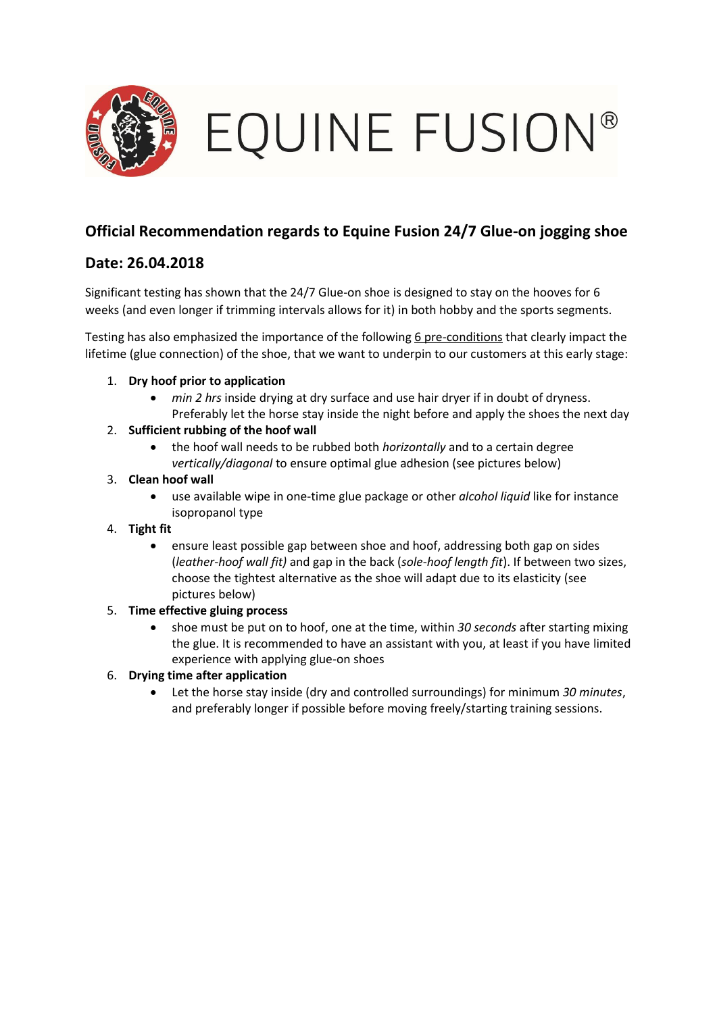

EQUINE FUSION®

## **Official Recommendation regards to Equine Fusion 24/7 Glue-on jogging shoe**

### **Date: 26.04.2018**

Significant testing has shown that the 24/7 Glue-on shoe is designed to stay on the hooves for 6 weeks (and even longer if trimming intervals allows for it) in both hobby and the sports segments.

Testing has also emphasized the importance of the following 6 pre-conditions that clearly impact the lifetime (glue connection) of the shoe, that we want to underpin to our customers at this early stage:

- 1. **Dry hoof prior to application**
	- *min 2 hrs* inside drying at dry surface and use hair dryer if in doubt of dryness. Preferably let the horse stay inside the night before and apply the shoes the next day
- 2. **Sufficient rubbing of the hoof wall**
	- the hoof wall needs to be rubbed both *horizontally* and to a certain degree *vertically/diagonal* to ensure optimal glue adhesion (see pictures below)
- 3. **Clean hoof wall**
	- use available wipe in one-time glue package or other *alcohol liquid* like for instance isopropanol type
- 4. **Tight fit**
	- ensure least possible gap between shoe and hoof, addressing both gap on sides (*leather-hoof wall fit)* and gap in the back (*sole-hoof length fit*). If between two sizes, choose the tightest alternative as the shoe will adapt due to its elasticity (see pictures below)

#### 5. **Time effective gluing process**

• shoe must be put on to hoof, one at the time, within *30 seconds* after starting mixing the glue. It is recommended to have an assistant with you, at least if you have limited experience with applying glue-on shoes

#### 6. **Drying time after application**

• Let the horse stay inside (dry and controlled surroundings) for minimum *30 minutes*, and preferably longer if possible before moving freely/starting training sessions.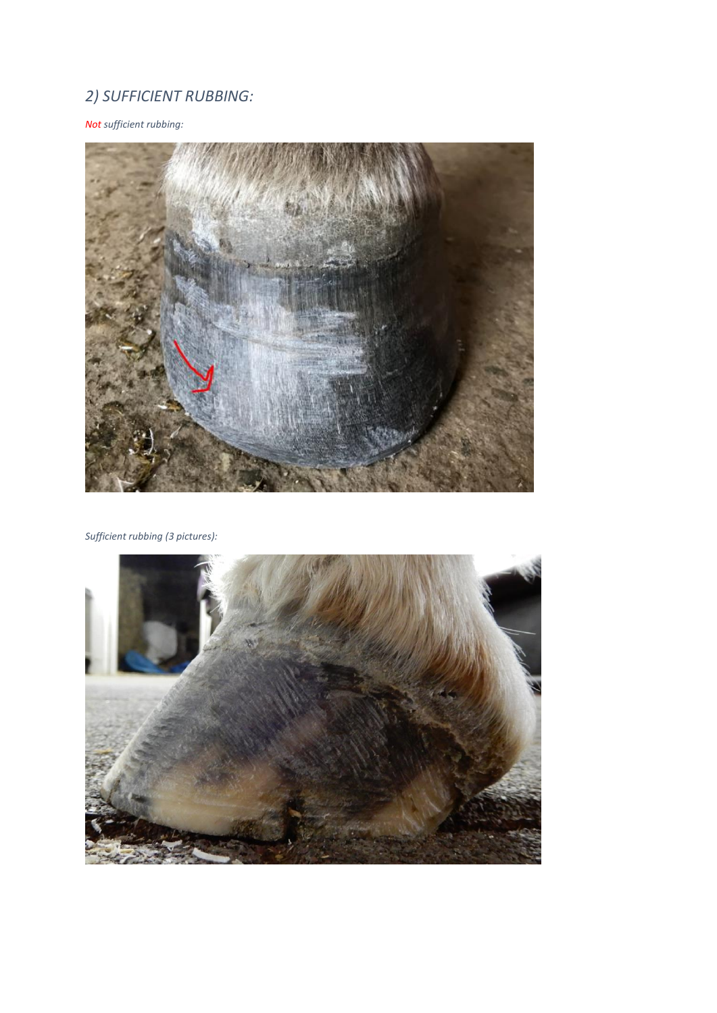# *2) SUFFICIENT RUBBING:*

*Not sufficient rubbing:* 



*Sufficient rubbing (3 pictures):*

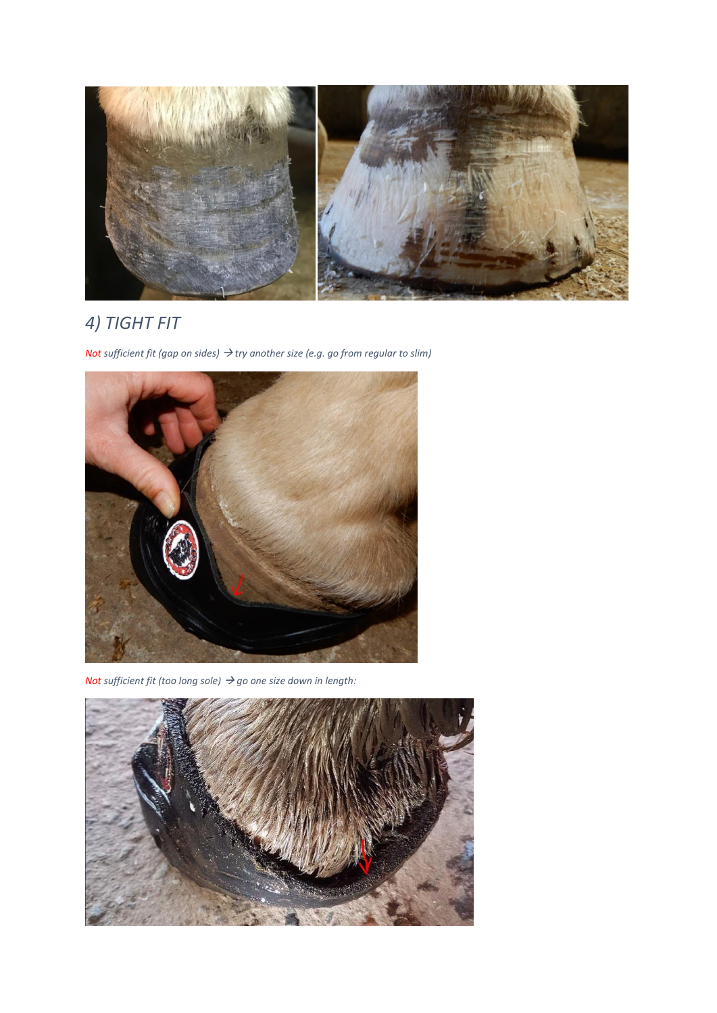

# *4) TIGHT FIT*

*Not sufficient fit (gap on sides) try another size (e.g. go from regular to slim)*



*Not sufficient fit (too long sole) go one size down in length:*